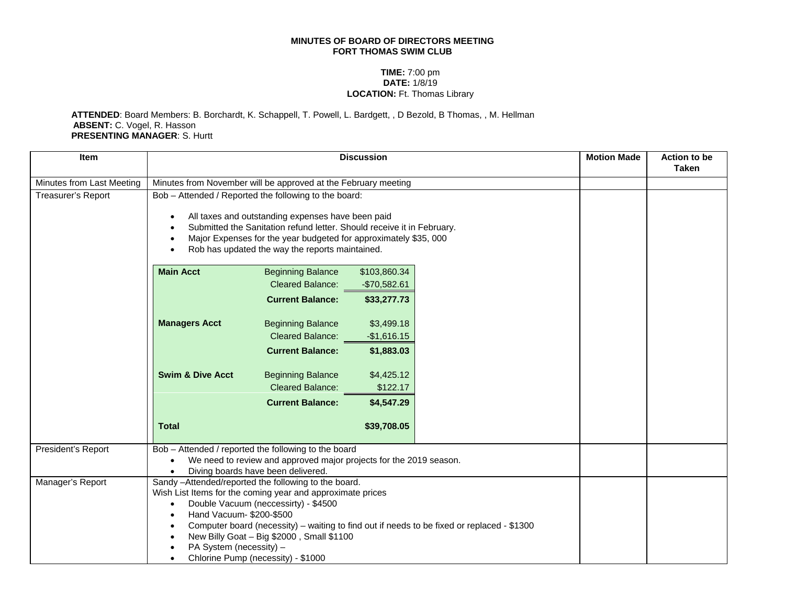## **MINUTES OF BOARD OF DIRECTORS MEETING FORT THOMAS SWIM CLUB**

## **TIME:** 7:00 pm **DATE:** 1/8/19 **LOCATION:** Ft. Thomas Library

**ATTENDED**: Board Members: B. Borchardt, K. Schappell, T. Powell, L. Bardgett, , D Bezold, B Thomas, , M. Hellman **ABSENT:** C. Vogel, R. Hasson **PRESENTING MANAGER**: S. Hurtt

| <b>Item</b>               | <b>Discussion</b>                                                                                                                                                                                                                                                                                                                                                                                                                         |                          |               | <b>Motion Made</b> | <b>Action to be</b><br><b>Taken</b> |  |
|---------------------------|-------------------------------------------------------------------------------------------------------------------------------------------------------------------------------------------------------------------------------------------------------------------------------------------------------------------------------------------------------------------------------------------------------------------------------------------|--------------------------|---------------|--------------------|-------------------------------------|--|
| Minutes from Last Meeting | Minutes from November will be approved at the February meeting                                                                                                                                                                                                                                                                                                                                                                            |                          |               |                    |                                     |  |
| Treasurer's Report        | Bob - Attended / Reported the following to the board:<br>All taxes and outstanding expenses have been paid<br>$\bullet$<br>Submitted the Sanitation refund letter. Should receive it in February.<br>$\bullet$<br>Major Expenses for the year budgeted for approximately \$35, 000<br>$\bullet$<br>Rob has updated the way the reports maintained.<br>$\bullet$                                                                           |                          |               |                    |                                     |  |
|                           | <b>Main Acct</b>                                                                                                                                                                                                                                                                                                                                                                                                                          | <b>Beginning Balance</b> | \$103,860.34  |                    |                                     |  |
|                           |                                                                                                                                                                                                                                                                                                                                                                                                                                           | <b>Cleared Balance:</b>  | $-$70,582.61$ |                    |                                     |  |
|                           |                                                                                                                                                                                                                                                                                                                                                                                                                                           | <b>Current Balance:</b>  | \$33,277.73   |                    |                                     |  |
|                           | <b>Managers Acct</b>                                                                                                                                                                                                                                                                                                                                                                                                                      | <b>Beginning Balance</b> | \$3,499.18    |                    |                                     |  |
|                           |                                                                                                                                                                                                                                                                                                                                                                                                                                           | <b>Cleared Balance:</b>  | $-$1,616.15$  |                    |                                     |  |
|                           |                                                                                                                                                                                                                                                                                                                                                                                                                                           | <b>Current Balance:</b>  | \$1,883.03    |                    |                                     |  |
|                           | <b>Swim &amp; Dive Acct</b>                                                                                                                                                                                                                                                                                                                                                                                                               | <b>Beginning Balance</b> | \$4,425.12    |                    |                                     |  |
|                           |                                                                                                                                                                                                                                                                                                                                                                                                                                           | <b>Cleared Balance:</b>  | \$122.17      |                    |                                     |  |
|                           |                                                                                                                                                                                                                                                                                                                                                                                                                                           | <b>Current Balance:</b>  | \$4,547.29    |                    |                                     |  |
|                           | <b>Total</b>                                                                                                                                                                                                                                                                                                                                                                                                                              |                          | \$39,708.05   |                    |                                     |  |
| President's Report        | Bob - Attended / reported the following to the board<br>We need to review and approved major projects for the 2019 season.<br>$\bullet$<br>Diving boards have been delivered.<br>$\bullet$                                                                                                                                                                                                                                                |                          |               |                    |                                     |  |
| Manager's Report          | Sandy -Attended/reported the following to the board.<br>Wish List Items for the coming year and approximate prices<br>Double Vacuum (neccessirty) - \$4500<br>$\bullet$<br>Hand Vacuum- \$200-\$500<br>$\bullet$<br>Computer board (necessity) – waiting to find out if needs to be fixed or replaced - \$1300<br>$\bullet$<br>New Billy Goat - Big \$2000, Small \$1100<br>PA System (necessity) -<br>Chlorine Pump (necessity) - \$1000 |                          |               |                    |                                     |  |